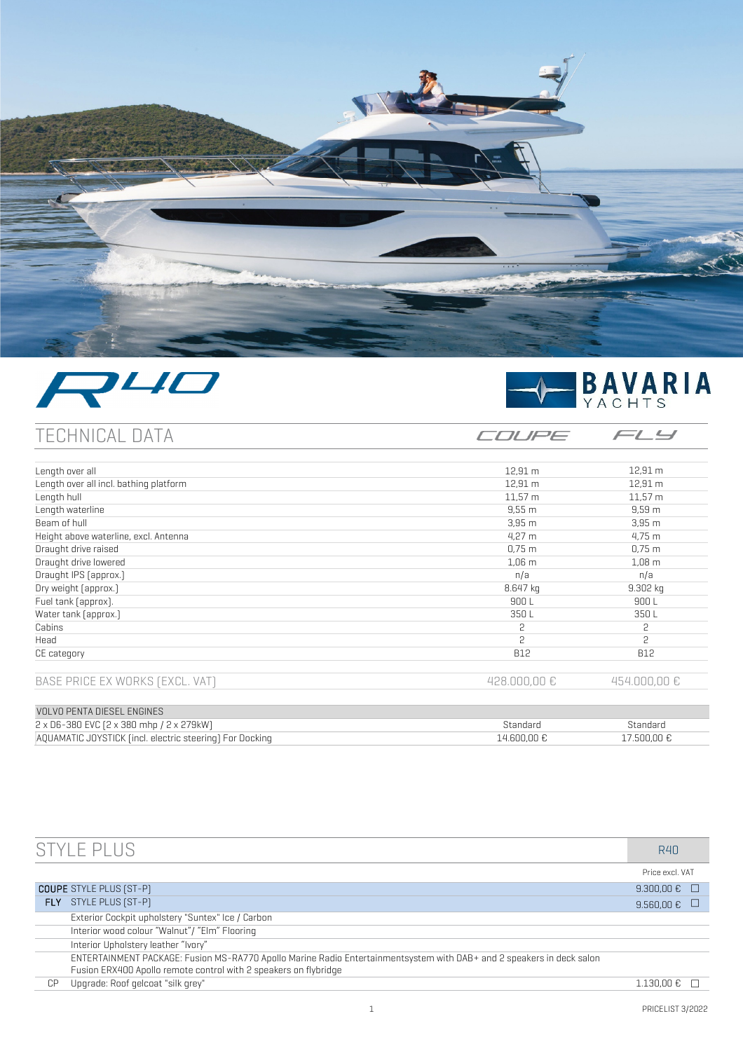





COUPE

 $FLJ$ 

# TECHNICAL DATA

| Length over all                        | $12,91 \, m$      | 12,91 m      |
|----------------------------------------|-------------------|--------------|
| Length over all incl. bathing platform | $12,91 \, m$      | 12,91 m      |
| Length hull                            | $11,57 \; m$      | $11,57 \, m$ |
| Length waterline                       | 9,55 m            | $9,59$ m     |
| Beam of hull                           | 3,95m             | $3,95$ m     |
| Height above waterline, excl. Antenna  | $4,27 \, m$       | 4,75 m       |
| Draught drive raised                   | $0,75 \; m$       | $0,75 \; m$  |
| Draught drive lowered                  | 1,06 <sub>m</sub> | $1,08 \, m$  |
| Draught IPS [approx.]                  | n/a               | n/a          |
| Dry weight [approx.]                   | 8.647 kg          | $9.302$ kg   |
| Fuel tank [approx].                    | 900 L             | 900 L        |
| Water tank [approx.]                   | 350L              | 350L         |
| Cabins                                 | 2                 | 2            |
| Head                                   | 2                 | 2            |
| CE category                            | <b>B12</b>        | <b>B12</b>   |
| BASE PRICE EX WORKS [EXCL. VAT]        | 428.000,00€       | 454.000,00€  |
|                                        |                   |              |
| <b>VOLVO PENTA DIESEL ENGINES</b>      |                   |              |

| 2 x D6-380 EVC (2 x 380 mhp / 2 x 279kW)                 | standarr |                      |
|----------------------------------------------------------|----------|----------------------|
| AOUAMATIC JOYSTICK fincl. electric steering) For Docking |          | .500.00 <del>f</del> |
|                                                          |          |                      |

|                                | STYLE PI US                                                                                                           | R40                         |
|--------------------------------|-----------------------------------------------------------------------------------------------------------------------|-----------------------------|
|                                |                                                                                                                       | Price excl. VAT             |
| <b>COUPE</b> STYLE PLUS [ST-P] |                                                                                                                       | $9.300.00 \text{ E}$ $\Box$ |
| FLY.                           | STYLE PLUS [ST-P]                                                                                                     | 9.560,00€                   |
|                                | Exterior Cockpit upholstery "Suntex" Ice / Carbon                                                                     |                             |
|                                | Interior wood colour "Walnut" / "Elm" Flooring                                                                        |                             |
|                                | Interior Upholstery leather "Ivory"                                                                                   |                             |
|                                | ENTERTAINMENT PACKAGE: Fusion MS-RA770 Apollo Marine Radio Entertainmentsystem with DAB+ and 2 speakers in deck salon |                             |
|                                | Fusion ERX400 Apollo remote control with 2 speakers on flybridge                                                      |                             |
| СP                             | Upgrade: Roof gelcoat "silk grey"                                                                                     | 1.130.00 €                  |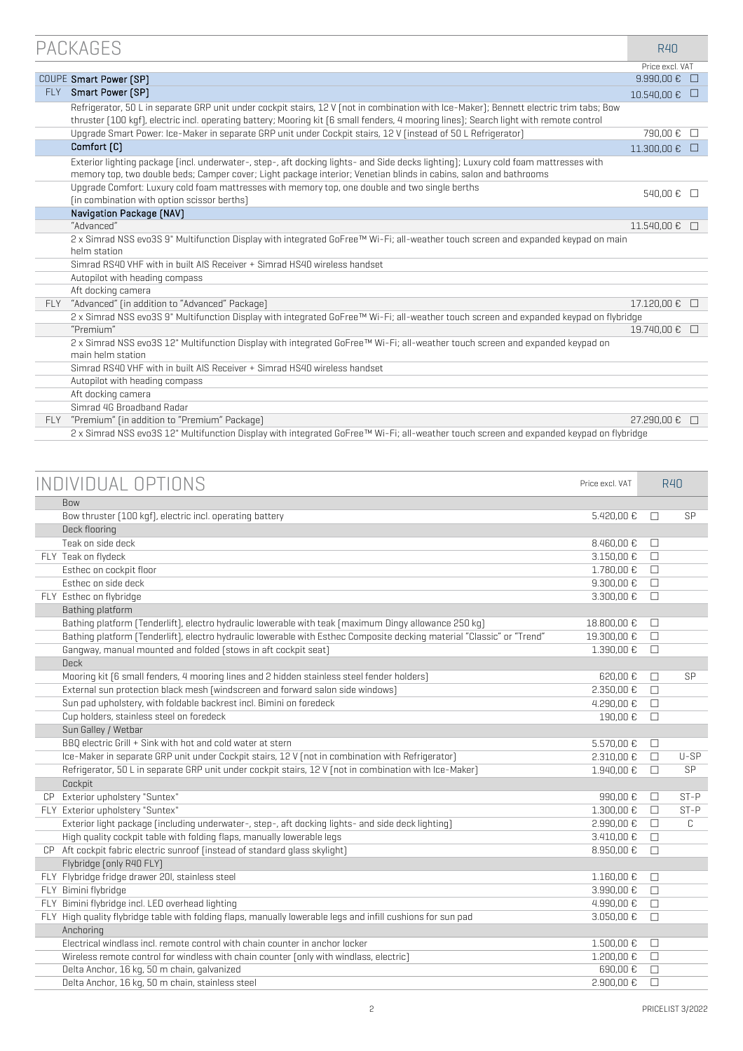|            | PACKAGES                                                                                                                                                                                                                                                                          | R40                  |        |
|------------|-----------------------------------------------------------------------------------------------------------------------------------------------------------------------------------------------------------------------------------------------------------------------------------|----------------------|--------|
|            |                                                                                                                                                                                                                                                                                   | Price excl. VAT      |        |
|            | COUPE Smart Power [SP]                                                                                                                                                                                                                                                            | $9.990,00 \in □$     |        |
| <b>FLY</b> | Smart Power (SP)                                                                                                                                                                                                                                                                  | $10.540,00 \in \Box$ |        |
|            | Refrigerator, 50 L in separate GRP unit under cockpit stairs, 12 V (not in combination with Ice-Maker); Bennett electric trim tabs; Bow<br>thruster [100 kgf], electric incl. operating battery; Mooring kit [6 small fenders, 4 mooring lines]; Search light with remote control |                      |        |
|            | Upgrade Smart Power: Ice-Maker in separate GRP unit under Cockpit stairs, 12 V (instead of 50 L Refrigerator)                                                                                                                                                                     | 790,00€              | $\Box$ |
|            | Comfort [C]                                                                                                                                                                                                                                                                       | 11.300,00 €          | $\Box$ |
|            | Exterior lighting package [incl. underwater-, step-, aft docking lights- and Side decks lighting]; Luxury cold foam mattresses with<br>memory top, two double beds; Camper cover; Light package interior; Venetian blinds in cabins, salon and bathrooms                          |                      |        |
|            | Upgrade Comfort: Luxury cold foam mattresses with memory top, one double and two single berths<br>[in combination with option scissor berths]                                                                                                                                     | 540,00 € □           |        |
|            | Navigation Package [NAV]                                                                                                                                                                                                                                                          |                      |        |
|            | "Advanced"                                                                                                                                                                                                                                                                        | 11.540,00 €          | $\Box$ |
|            | 2 x Simrad NSS evo3S 9" Multifunction Display with integrated GoFree™ Wi-Fi; all-weather touch screen and expanded keypad on main                                                                                                                                                 |                      |        |
|            | helm station                                                                                                                                                                                                                                                                      |                      |        |
|            | Simrad RS40 VHF with in built AIS Receiver + Simrad HS40 wireless handset                                                                                                                                                                                                         |                      |        |
|            | Autopilot with heading compass                                                                                                                                                                                                                                                    |                      |        |
|            | Aft docking camera                                                                                                                                                                                                                                                                |                      |        |
| <b>FIY</b> | "Advanced" (in addition to "Advanced" Package)                                                                                                                                                                                                                                    | 17.120,00 € □        |        |
|            | 2 x Simrad NSS evo3S 9" Multifunction Display with integrated GoFree™ Wi-Fi; all-weather touch screen and expanded keypad on flybridge                                                                                                                                            |                      |        |
|            | "Premium"                                                                                                                                                                                                                                                                         | 19.740,00 € □        |        |
|            | 2 x Simrad NSS evo3S 12" Multifunction Display with integrated GoFree™ Wi-Fi; all-weather touch screen and expanded keypad on                                                                                                                                                     |                      |        |
|            | main helm station                                                                                                                                                                                                                                                                 |                      |        |
|            | Simrad RS40 VHF with in built AIS Receiver + Simrad HS40 wireless handset                                                                                                                                                                                                         |                      |        |
|            | Autopilot with heading compass                                                                                                                                                                                                                                                    |                      |        |
|            | Aft docking camera                                                                                                                                                                                                                                                                |                      |        |
|            | Simrad 4G Broadband Radar                                                                                                                                                                                                                                                         |                      |        |
| <b>FLY</b> | "Premium" (in addition to "Premium" Package)                                                                                                                                                                                                                                      | 27.290.00 € □        |        |

2 x Simrad NSS evo3S 12" Multifunction Display with integrated GoFree™ Wi-Fi; all-weather touch screen and expanded keypad on flybridge

|                                                                                                                        |                 |        | <b>R40</b> |
|------------------------------------------------------------------------------------------------------------------------|-----------------|--------|------------|
| INDIVIDUAL OPTIONS                                                                                                     | Price excl. VAT |        |            |
| <b>Bow</b>                                                                                                             |                 |        |            |
| Bow thruster (100 kgf), electric incl. operating battery                                                               | 5.420,00 €      | П      | SP         |
| Deck flooring                                                                                                          |                 |        |            |
| Teak on side deck                                                                                                      | 8.460,00 €      | П      |            |
| FLY Teak on flydeck                                                                                                    | 3.150,00 €      | $\Box$ |            |
| Esthec on cockpit floor                                                                                                | 1.780,00 €      | $\Box$ |            |
| Esthec on side deck                                                                                                    | 9.300,00€       | $\Box$ |            |
| FLY Esthec on flybridge                                                                                                | 3.300,00 €      | П      |            |
| Bathing platform                                                                                                       |                 |        |            |
| Bathing platform (Tenderlift), electro hydraulic lowerable with teak (maximum Dingy allowance 250 kg)                  | 18.800,00 €     | $\Box$ |            |
| Bathing platform [Tenderlift], electro hydraulic lowerable with Esthec Composite decking material "Classic" or "Trend" | 19.300,00 €     | П      |            |
| Gangway, manual mounted and folded [stows in aft cockpit seat]                                                         | 1.390.00 €      | $\Box$ |            |
| <b>Deck</b>                                                                                                            |                 |        |            |
| Mooring kit [6 small fenders, 4 mooring lines and 2 hidden stainless steel fender holders]                             | 620,00€         | □      | SP         |
| External sun protection black mesh [windscreen and forward salon side windows]                                         | 2.350,00 €      | П      |            |
| Sun pad upholstery, with foldable backrest incl. Bimini on foredeck                                                    | 4.290,00 €      | $\Box$ |            |
| Cup holders, stainless steel on foredeck                                                                               | 190,00€         | □      |            |
| Sun Galley / Wetbar                                                                                                    |                 |        |            |
| BBQ electric Grill + Sink with hot and cold water at stern                                                             | 5.570,00 €      | П      |            |
| Ice-Maker in separate GRP unit under Cockpit stairs, 12 V (not in combination with Refrigerator)                       | 2.310,00 €      | $\Box$ | $U-SP$     |
| Refrigerator, 50 L in separate GRP unit under cockpit stairs, 12 V (not in combination with Ice-Maker)                 | 1.940.00 €      | $\Box$ | SP         |
| Cockpit                                                                                                                |                 |        |            |
| CP Exterior upholstery "Suntex"                                                                                        | 990,00€         | □      | $ST-P$     |
| FLY Exterior upholstery "Suntex"                                                                                       | 1.300,00 €      | П      | $ST-P$     |
| Exterior light package [including underwater-, step-, aft docking lights- and side deck lighting]                      | 2.990,00 €      | П      | C          |
| High quality cockpit table with folding flaps, manually lowerable legs                                                 | 3.410,00 €      | $\Box$ |            |
| CP Aft cockpit fabric electric sunroof [instead of standard qlass skylight]                                            | 8.950,00 €      | □      |            |
| Flybridge [only R40 FLY]                                                                                               |                 |        |            |
| FLY Flybridge fridge drawer 20I, stainless steel                                                                       | 1.160,00 €      | П      |            |
| FLY Bimini flybridge                                                                                                   | 3.990,00 €      | П      |            |
| FLY Bimini flybridge incl. LED overhead lighting                                                                       | 4.990,00 €      | П      |            |
| FLY High quality flybridge table with folding flaps, manually lowerable legs and infill cushions for sun pad           | 3.050,00 €      | П      |            |
| Anchoring                                                                                                              |                 |        |            |
| Electrical windlass incl. remote control with chain counter in anchor locker                                           | 1.500,00 €      | □      |            |
| Wireless remote control for windless with chain counter (only with windlass, electric)                                 | 1.200,00 €      | $\Box$ |            |
| Delta Anchor, 16 kg, 50 m chain, galvanized                                                                            | 690,00€         | □      |            |
| Delta Anchor, 16 kg, 50 m chain, stainless steel                                                                       | 2.900,00 €      | $\Box$ |            |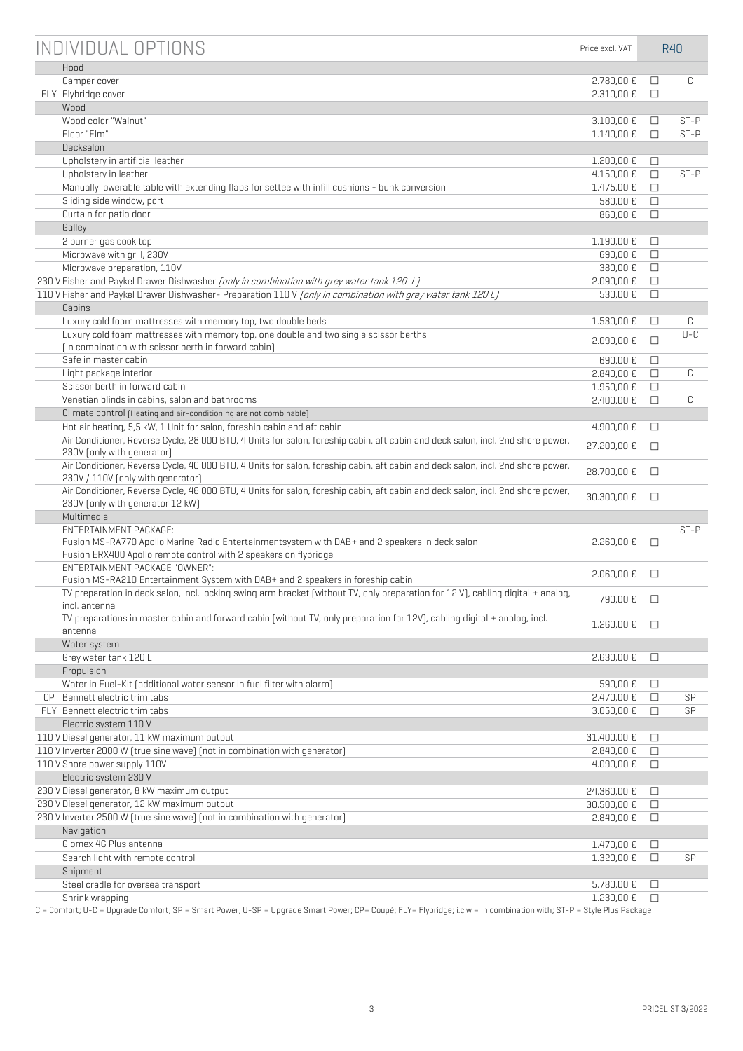| INDIVIDUAL OPTIONS                                                                                                                                                        | Price excl. VAT |        | R40     |
|---------------------------------------------------------------------------------------------------------------------------------------------------------------------------|-----------------|--------|---------|
| Hood                                                                                                                                                                      |                 |        |         |
| Camper cover                                                                                                                                                              | 2.780,00€       | □      | C       |
| FLY Flybridge cover                                                                                                                                                       | 2.310,00 €      | $\Box$ |         |
| Wood                                                                                                                                                                      |                 |        |         |
| Wood color "Walnut"                                                                                                                                                       | 3.100,00 €      | □      | $ST-P$  |
| Floor "Elm"                                                                                                                                                               | 1.140,00 €      | П      | $ST-P$  |
| Decksalon                                                                                                                                                                 |                 |        |         |
| Upholstery in artificial leather                                                                                                                                          | 1.200,00 €      | □      |         |
| Upholstery in leather                                                                                                                                                     | 4.150,00 €      | $\Box$ | $ST-P$  |
| Manually lowerable table with extending flaps for settee with infill cushions - bunk conversion                                                                           | 1.475,00 €      | $\Box$ |         |
| Sliding side window, port                                                                                                                                                 | 580,00 €        | $\Box$ |         |
| Curtain for patio door                                                                                                                                                    | 860,00€         | $\Box$ |         |
| Galley                                                                                                                                                                    |                 |        |         |
| 2 burner gas cook top                                                                                                                                                     | 1.190,00 €      | $\Box$ |         |
| Microwave with grill, 230V                                                                                                                                                | 690,00€         | $\Box$ |         |
| Microwave preparation, 110V                                                                                                                                               | 380,00 €        | $\Box$ |         |
| 230 V Fisher and Paykel Drawer Dishwasher <i>[only in combination with grey water tank 120 Lj</i>                                                                         | 2.090,00 €      | $\Box$ |         |
| 110 V Fisher and Paykel Drawer Dishwasher- Preparation 110 V [only in combination with grey water tank 120 L]                                                             | 530,00 €        | $\Box$ |         |
| Cabins                                                                                                                                                                    |                 |        |         |
| Luxury cold foam mattresses with memory top, two double beds                                                                                                              | 1.530,00 €      | □      | C       |
| Luxury cold foam mattresses with memory top, one double and two single scissor berths                                                                                     |                 |        | $U - C$ |
| [in combination with scissor berth in forward cabin]                                                                                                                      | 2.090,00€       | □      |         |
| Safe in master cabin                                                                                                                                                      | 690,00€         | $\Box$ |         |
| Light package interior                                                                                                                                                    | 2.840,00 €      | $\Box$ | C       |
| Scissor berth in forward cabin                                                                                                                                            | 1.950,00 €      | $\Box$ |         |
| Venetian blinds in cabins, salon and bathrooms                                                                                                                            | 2.400,00 €      | П      | C       |
| Climate control (Heating and air-conditioning are not combinable)                                                                                                         |                 |        |         |
| Hot air heating, 5,5 kW, 1 Unit for salon, foreship cabin and aft cabin                                                                                                   | $4.900,00 \in$  | □      |         |
| Air Conditioner, Reverse Cycle, 28.000 BTU, 4 Units for salon, foreship cabin, aft cabin and deck salon, incl. 2nd shore power,                                           |                 |        |         |
| 230V [only with generator]                                                                                                                                                | 27.200,00 €     | П      |         |
| Air Conditioner, Reverse Cycle, 40.000 BTU, 4 Units for salon, foreship cabin, aft cabin and deck salon, incl. 2nd shore power,<br>230V / 110V [only with generator]      | 28.700,00 €     | □      |         |
| Air Conditioner, Reverse Cycle, 46.000 BTU, 4 Units for salon, foreship cabin, aft cabin and deck salon, incl. 2nd shore power,<br>230V [only with generator 12 kW]       | 30.300,00 €     | $\Box$ |         |
| Multimedia                                                                                                                                                                |                 |        |         |
| <b>FNTFRTAINMENT PACKAGE:</b>                                                                                                                                             |                 |        | $ST-P$  |
| Fusion MS-RA770 Apollo Marine Radio Entertainmentsystem with DAB+ and 2 speakers in deck salon                                                                            | 2.260,00 €      | $\Box$ |         |
| Fusion ERX400 Apollo remote control with 2 speakers on flybridge                                                                                                          |                 |        |         |
| FNTFRTAINMENT PACKAGF "OWNER":                                                                                                                                            | 2.060,00 €      | □      |         |
| Fusion MS-RA210 Entertainment System with DAB+ and 2 speakers in foreship cabin                                                                                           |                 |        |         |
| TV preparation in deck salon, incl. locking swing arm bracket [without TV, only preparation for 12 V], cabling digital + analog,<br>incl. antenna                         | 790,00 € □      |        |         |
| TV preparations in master cabin and forward cabin [without TV, only preparation for 12V], cabling digital + analog, incl.                                                 | 1.260,00 € □    |        |         |
| antenna                                                                                                                                                                   |                 |        |         |
| Water system                                                                                                                                                              |                 |        |         |
| Grey water tank 120 L                                                                                                                                                     | 2.630,00 €      | $\Box$ |         |
| Propulsion                                                                                                                                                                |                 |        |         |
| Water in Fuel-Kit [additional water sensor in fuel filter with alarm]                                                                                                     | 590,00€         | □      |         |
| CP Bennett electric trim tabs                                                                                                                                             | 2.470,00 €      | $\Box$ | SP      |
| FLY Bennett electric trim tabs                                                                                                                                            | 3.050,00€       | $\Box$ | SP      |
| Electric system 110 V                                                                                                                                                     |                 |        |         |
| 110 V Diesel generator, 11 kW maximum output                                                                                                                              | 31.400,00 €     | $\Box$ |         |
| 110 V Inverter 2000 W [true sine wave] [not in combination with generator]                                                                                                | 2.840,00 €      | $\Box$ |         |
| 110 V Shore power supply 110V                                                                                                                                             | 4.090,00 €      | $\Box$ |         |
| Electric system 230 V                                                                                                                                                     |                 |        |         |
| 230 V Diesel generator, 8 kW maximum output                                                                                                                               | 24.360,00 €     | □      |         |
| 230 V Diesel generator, 12 kW maximum output                                                                                                                              | 30.500,00 €     | $\Box$ |         |
| 230 V Inverter 2500 W [true sine wave] [not in combination with generator]                                                                                                | 2.840,00 €      | $\Box$ |         |
| Navigation                                                                                                                                                                |                 |        |         |
| Glomex 4G Plus antenna                                                                                                                                                    | 1.470,00 €      | □      |         |
| Search light with remote control                                                                                                                                          | 1.320,00 €      | $\Box$ | SP      |
| Shipment                                                                                                                                                                  |                 |        |         |
| Steel cradle for oversea transport                                                                                                                                        | 5.780,00 €      | □      |         |
| Shrink wrapping                                                                                                                                                           | 1.230,00 €      | П      |         |
| $C =$ Comfort: II-C = Ungrade Comfort: SP = Smart Power: II-SP = Ungrade Smart Power: CP = Couné: ELY = Elvhridge: i.c.w = in combination with: ST-P = Style Plus Package |                 |        |         |

C = Comfort; U-C = Upgrade Comfort; SP = Smart Power; U-SP = Upgrade Smart Power; CP= Coupé; FLY= Flybridge; i.c.w = in combination with; ST-P = Style Plus Package